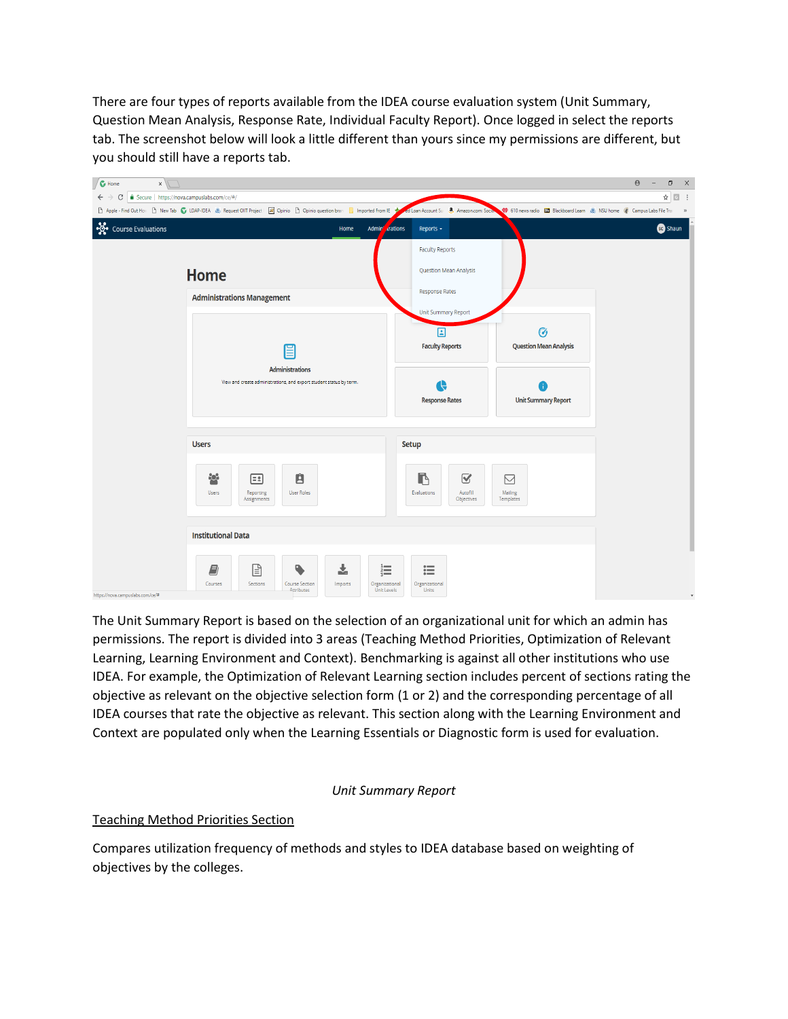There are four types of reports available from the IDEA course evaluation system (Unit Summary, Question Mean Analysis, Response Rate, Individual Faculty Report). Once logged in select the reports tab. The screenshot below will look a little different than yours since my permissions are different, but you should still have a reports tab.



The Unit Summary Report is based on the selection of an organizational unit for which an admin has permissions. The report is divided into 3 areas (Teaching Method Priorities, Optimization of Relevant Learning, Learning Environment and Context). Benchmarking is against all other institutions who use IDEA. For example, the Optimization of Relevant Learning section includes percent of sections rating the objective as relevant on the objective selection form (1 or 2) and the corresponding percentage of all IDEA courses that rate the objective as relevant. This section along with the Learning Environment and Context are populated only when the Learning Essentials or Diagnostic form is used for evaluation.

#### *Unit Summary Report*

#### Teaching Method Priorities Section

Compares utilization frequency of methods and styles to IDEA database based on weighting of objectives by the colleges.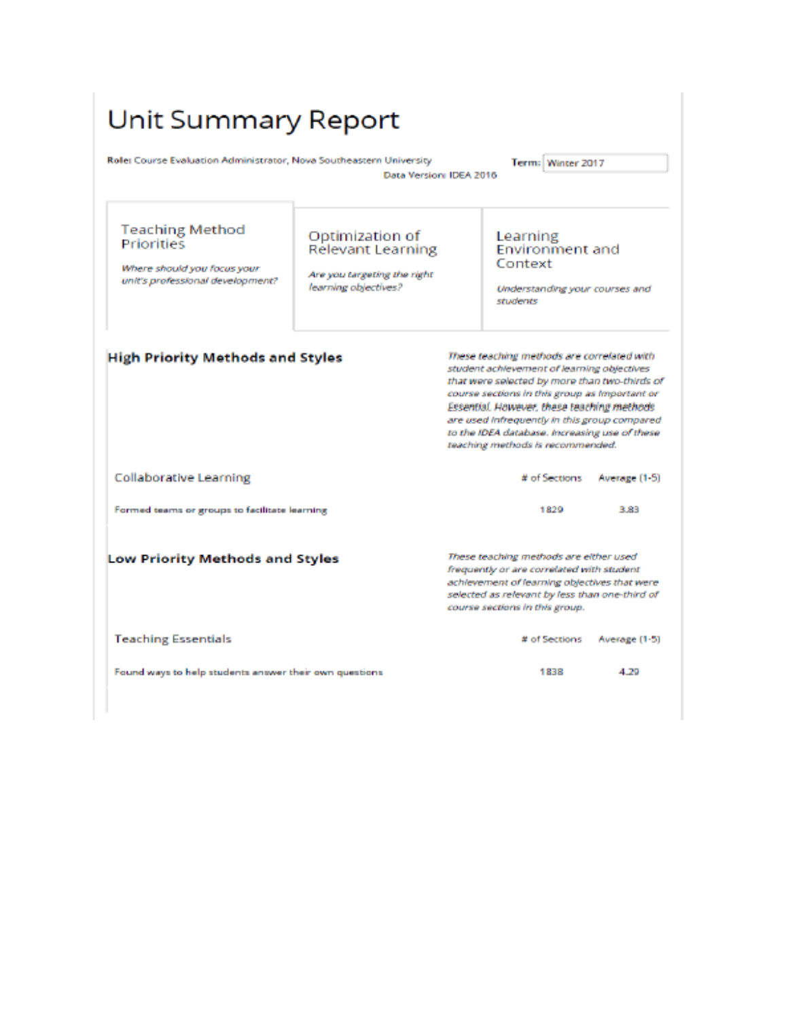| Unit Summary Report                                                                                     |                                                                                                    |  |                                                                                                                                                                                                                                                                                                                                                                               |               |  |  |  |
|---------------------------------------------------------------------------------------------------------|----------------------------------------------------------------------------------------------------|--|-------------------------------------------------------------------------------------------------------------------------------------------------------------------------------------------------------------------------------------------------------------------------------------------------------------------------------------------------------------------------------|---------------|--|--|--|
| Rolei Course Evaluation Administrator, Nova Southeastern University                                     | Data Version: IDEA 2016                                                                            |  | Term: Winter 2017                                                                                                                                                                                                                                                                                                                                                             |               |  |  |  |
| <b>Teaching Method</b><br>Priorities<br>Where should you focus your<br>unit's professional development? | Optimization of<br><b>Relevant Learning</b><br>Are you targeting the right<br>learning objectives? |  | Learning<br><b>Environment and</b><br>Context<br>Understanding your courses and<br>students                                                                                                                                                                                                                                                                                   |               |  |  |  |
| <b>High Priority Methods and Styles</b>                                                                 |                                                                                                    |  | These teaching methods are correlated with<br>student achievement of learning objectives<br>that were selected by more than two-thirds of<br>course sections in this group as Important or<br>Essential. However, these teaching methods<br>are used infrequently in this group compared<br>to the IDEA database. Increasing use of these<br>teaching methods is recommended. |               |  |  |  |
| <b>Collaborative Learning</b>                                                                           |                                                                                                    |  | # of Sections                                                                                                                                                                                                                                                                                                                                                                 | Average (1-5) |  |  |  |
| Formed teams or groups to facilitate learning                                                           |                                                                                                    |  | 1829                                                                                                                                                                                                                                                                                                                                                                          | 3.83          |  |  |  |
| Low Priority Methods and Styles                                                                         |                                                                                                    |  | These teaching methods are either used<br>frequently or are correlated with student<br>achievement of learning objectives that were<br>selected as relevant by less than one-third of<br>course sections in this group.                                                                                                                                                       |               |  |  |  |
| <b>Teaching Essentials</b>                                                                              |                                                                                                    |  | # of Sections                                                                                                                                                                                                                                                                                                                                                                 | Average (1-5) |  |  |  |
| Found ways to help students answer their own questions.                                                 |                                                                                                    |  | 1838                                                                                                                                                                                                                                                                                                                                                                          | 4.20          |  |  |  |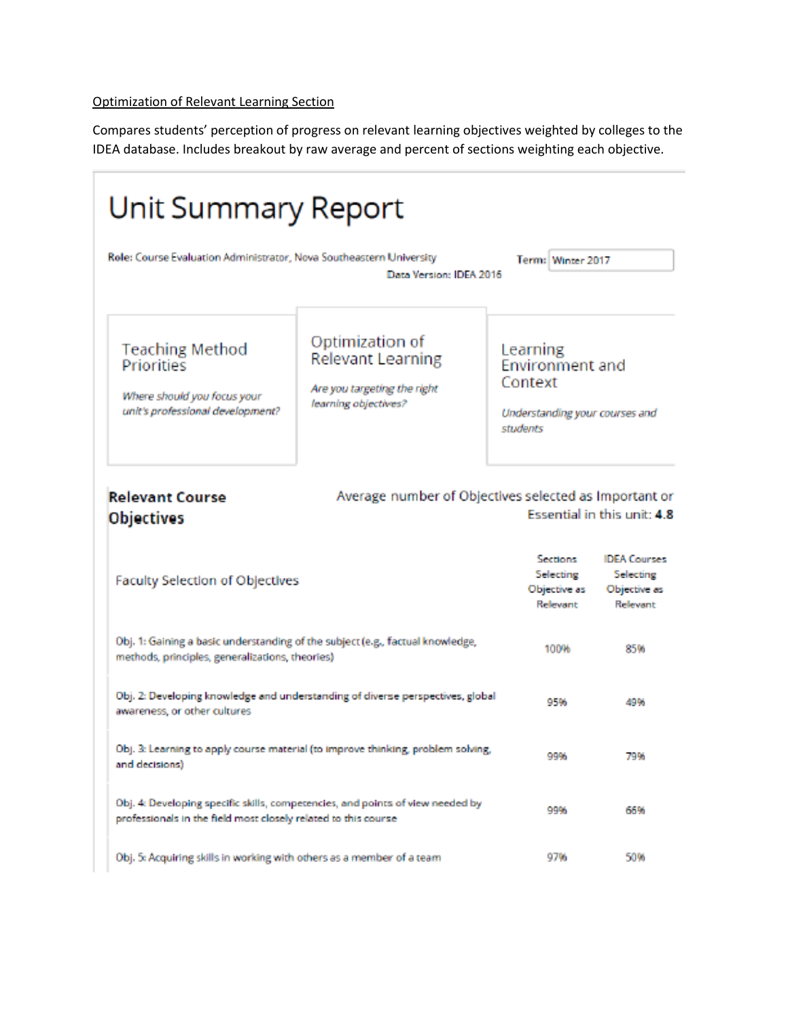#### Optimization of Relevant Learning Section

Compares students' perception of progress on relevant learning objectives weighted by colleges to the IDEA database. Includes breakout by raw average and percent of sections weighting each objective.

| Unit Summary Report                                                                                                               |                                                                                             |                                                                                             |                                                              |  |  |  |
|-----------------------------------------------------------------------------------------------------------------------------------|---------------------------------------------------------------------------------------------|---------------------------------------------------------------------------------------------|--------------------------------------------------------------|--|--|--|
| Role: Course Evaluation Administrator, Nova Southeastern University<br>Term: Winter 2017<br>Data Version: IDEA 2016               |                                                                                             |                                                                                             |                                                              |  |  |  |
| <b>Teaching Method</b><br>Priorities<br>Where should you focus your<br>unit's professional development?                           | Optimization of<br>Relevant Learning<br>Are you targeting the right<br>learning objectives? | Learning<br><b>Environment and</b><br>Context<br>Understanding your courses and<br>students |                                                              |  |  |  |
| <b>Relevant Course</b><br>Average number of Objectives selected as Important or<br>Essential in this unit: 4.8<br>Objectives      |                                                                                             |                                                                                             |                                                              |  |  |  |
| Faculty Selection of Objectives                                                                                                   |                                                                                             | <b>Sections</b><br>Selecting<br>Objective as<br>Relevant                                    | <b>IDEA Courses</b><br>Selecting<br>Objective as<br>Relevant |  |  |  |
| Obj. 1: Gaining a basic understanding of the subject (e.g., factual knowledge,<br>methods, principles, generalizations, theories) |                                                                                             | 100%                                                                                        | 85%                                                          |  |  |  |
| awareness, or other cultures                                                                                                      | Obj. 2: Developing knowledge and understanding of diverse perspectives, global              | 95%                                                                                         | 49%                                                          |  |  |  |
| and decisions)                                                                                                                    | Obj. 3: Learning to apply course material (to improve thinking, problem solving,            | 99%                                                                                         | 79%                                                          |  |  |  |
| professionals in the field most closely related to this course                                                                    | Obj. 4: Developing specific skills, competencies, and points of view needed by              | 99%                                                                                         | 66%                                                          |  |  |  |
| Obj. 5: Acquiring skills in working with others as a member of a team                                                             |                                                                                             | 97%                                                                                         | 50%                                                          |  |  |  |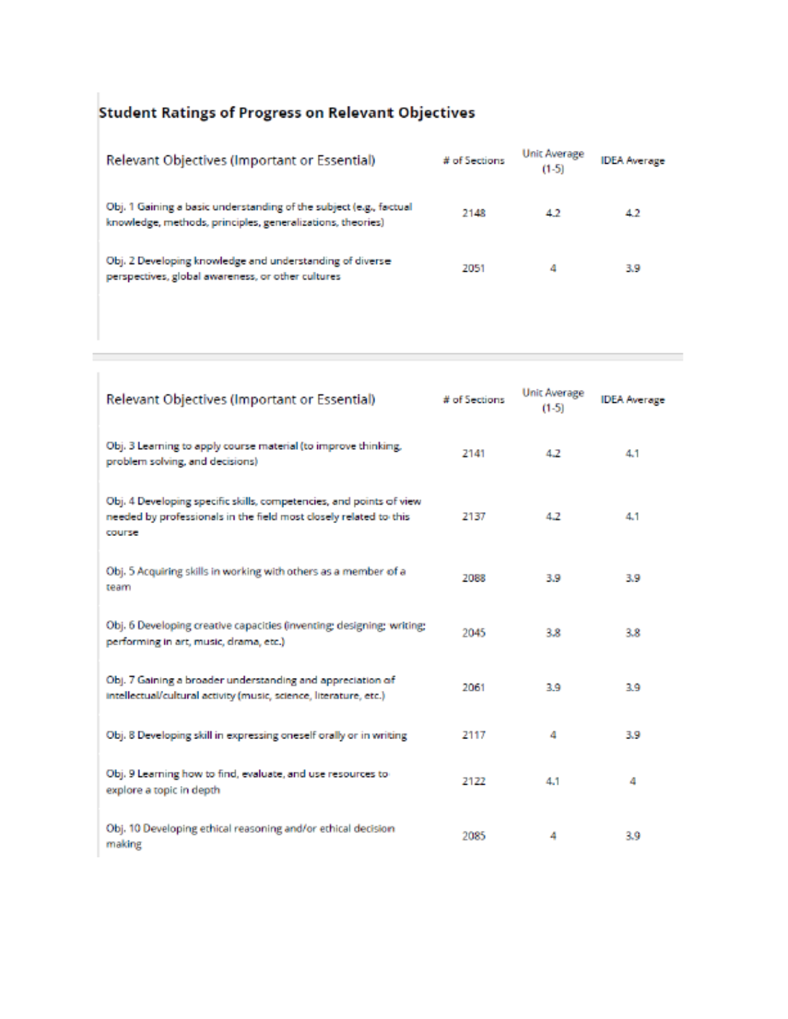# Student Ratings of Progress on Relevant Objectives

T.

| Relevant Objectives (Important or Essential)                                                                                     | # of Sections | Unit Average<br>$(1-5)$ | <b>IDEA</b> Average |
|----------------------------------------------------------------------------------------------------------------------------------|---------------|-------------------------|---------------------|
| Obj. 1 Gaining a basic understanding of the subject (e.g., factual<br>knowledge, methods, principles, generalizations, theories) | 2148          | 42                      | 42                  |
| Obj. 2 Developing knowledge and understanding of diverse<br>perspectives, global awareness, or other cultures                    | 2051          | 4                       | 3.9                 |

| Relevant Objectives (Important or Essential)                                                                                                       | # of Sections | <b>Unit Average</b><br>$(1-5)$ | <b>IDEA</b> Average |
|----------------------------------------------------------------------------------------------------------------------------------------------------|---------------|--------------------------------|---------------------|
| Obj. 3 Learning to apply course material (to improve thinking,<br>problem solving, and decisions)                                                  | 2141          | 4.2                            | 4.1                 |
| Obj. 4 Developing specific skills, competencies, and points of view<br>needed by professionals in the field most closely related to this<br>course | 2137          | 4.2                            | 4.1                 |
| Obj. 5 Acquiring skills in working with others as a member of a<br>team                                                                            | 2088          | 3.9                            | 3.9                 |
| Obj. 6 Developing creative capacities (inventing; designing; writing;<br>performing in art, music, drama, etc.)                                    | 2045          | 3.8                            | 3.8                 |
| Obj. 7 Gaining a broader understanding and appreciation of<br>intellectual/cultural activity (music, science, literature, etc.)                    | 2061          | 3.9                            | 3.9                 |
| Obj. 8 Developing skill in expressing oneself orally or in writing                                                                                 | 2117          | 4                              | 3.9                 |
| Obj. 9 Learning how to find, evaluate, and use resources to<br>explore a topic in depth.                                                           | 2122          | 4.1                            | 4                   |
| Obj. 10 Developing ethical reasoning and/or ethical decision<br>making                                                                             | 2085          | 4                              | 3.9                 |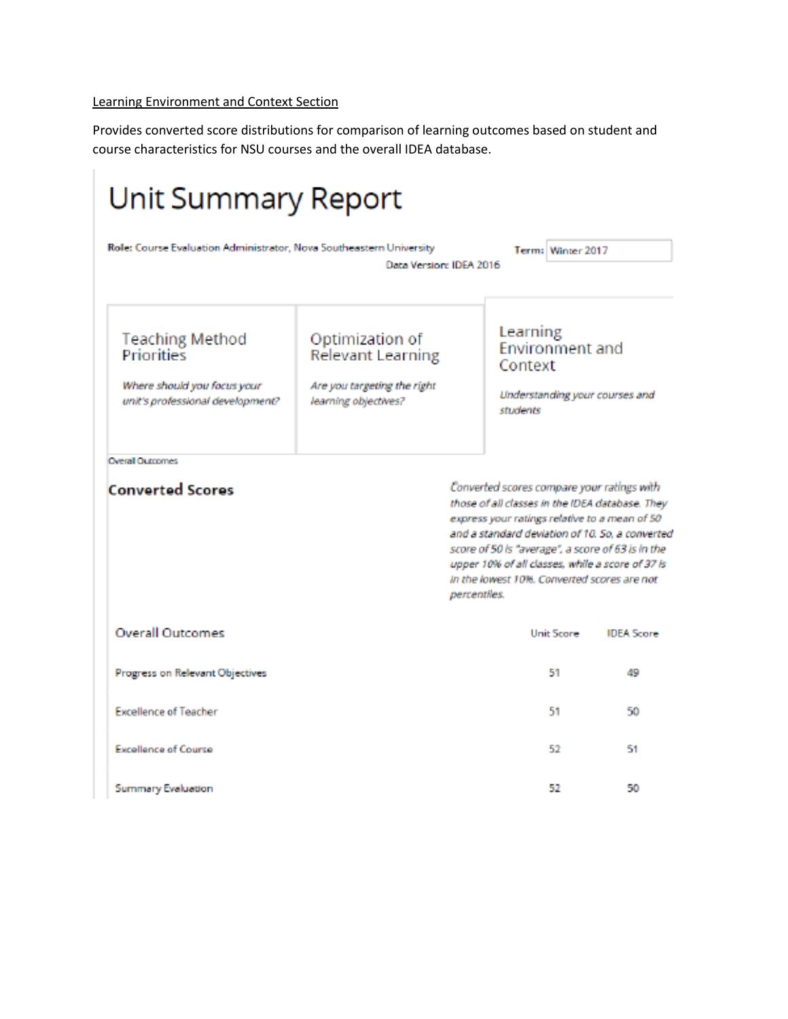### Learning Environment and Context Section

Provides converted score distributions for comparison of learning outcomes based on student and course characteristics for NSU courses and the overall IDEA database.

| <b>Unit Summary Report</b>                                                                              |                                                                                                    |                                                                                                                                                            |                                                                                                                                                                                                             |
|---------------------------------------------------------------------------------------------------------|----------------------------------------------------------------------------------------------------|------------------------------------------------------------------------------------------------------------------------------------------------------------|-------------------------------------------------------------------------------------------------------------------------------------------------------------------------------------------------------------|
| Role: Course Evaluation Administrator, Nova Southeastern University                                     | Data Version: IDEA 2016                                                                            | Term: Winter 2017                                                                                                                                          |                                                                                                                                                                                                             |
| <b>Teaching Method</b><br>Priorities<br>Where should you focus your<br>unit's professional development? | Optimization of<br><b>Relevant Learning</b><br>Are you targeting the right<br>learning objectives? | Learning<br>Environment and<br>Context<br>students                                                                                                         | Understanding your courses and                                                                                                                                                                              |
| <b>Overall Outcomes</b><br><b>Converted Scores</b>                                                      |                                                                                                    | Converted scores compare your ratings with<br>express your ratings relative to a mean of 50<br>in the lowest 10%. Converted scores are not<br>percentiles. | those of all classes in the IDEA database. They<br>and a standard deviation of 10, So, a converted<br>score of 50 ls "average", a score of 63 is in the<br>upper 10% of all classes, while a score of 37 is |
| <b>Overall Outcomes</b>                                                                                 |                                                                                                    | Unit Score                                                                                                                                                 | <b>IDEA Score</b>                                                                                                                                                                                           |
| Progress on Relevant Objectives                                                                         |                                                                                                    | 51                                                                                                                                                         | 49                                                                                                                                                                                                          |
| <b>Excellence of Teacher</b>                                                                            |                                                                                                    | 51                                                                                                                                                         | 50                                                                                                                                                                                                          |
| <b>Excellence of Course</b>                                                                             |                                                                                                    | 52                                                                                                                                                         | 51                                                                                                                                                                                                          |
| Summary Evaluation                                                                                      |                                                                                                    | 52                                                                                                                                                         | 50                                                                                                                                                                                                          |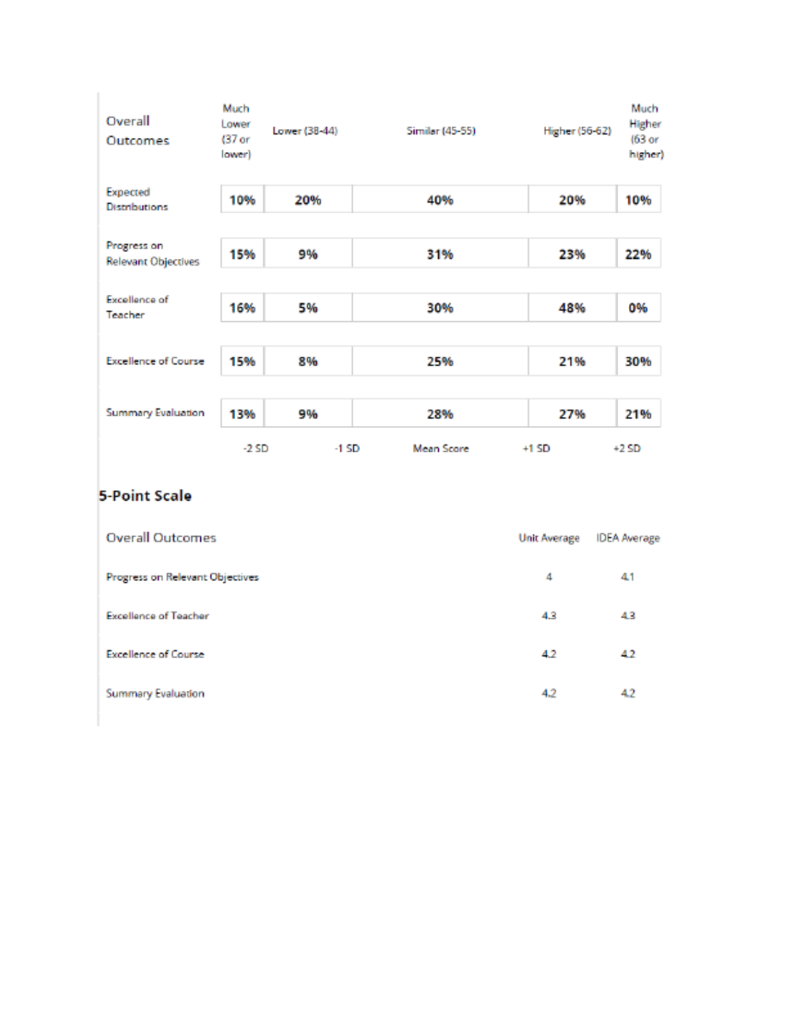| Overall<br>Outcomes                       | Much<br>Lower<br>(37 <sub>or</sub><br>lower) | Lower (38-44) | Similar (45-55) | Higher (56-62) | Much<br>Higher<br>(63 or<br>higher) |
|-------------------------------------------|----------------------------------------------|---------------|-----------------|----------------|-------------------------------------|
| Expected<br><b>Distributions</b>          | 10%                                          | 20%           | 40%             | 20%            | 10%                                 |
| Progress on<br><b>Relevant Objectives</b> | 15%                                          | 9%            | 31%             | 23%            | 22%                                 |
| Excellence of<br>Teacher                  | 16%                                          | 5%            | 30%             | 48%            | 0%                                  |
| <b>Excellence of Course</b>               | 15%                                          | 8%            | 25%             | 21%            | 30%                                 |
| <b>Summary Evaluation</b>                 | 13%                                          | 9%            | 28%             | 27%            | 21%                                 |
|                                           | $-2SD$                                       | -1 SD         | Mean Score      | $+1$ SD        | $+2SD$                              |

# 5-Point Scale

| <b>Overall Outcomes</b>         | <b>Unit Average</b> | <b>IDEA</b> Average |
|---------------------------------|---------------------|---------------------|
| Progress on Relevant Objectives | 4                   | 41                  |
| <b>Excellence of Teacher</b>    | 4.3                 | 43                  |
| <b>Excellence of Course</b>     | 4.2                 | 42                  |
| Summary Evaluation              | 4.2                 | 42                  |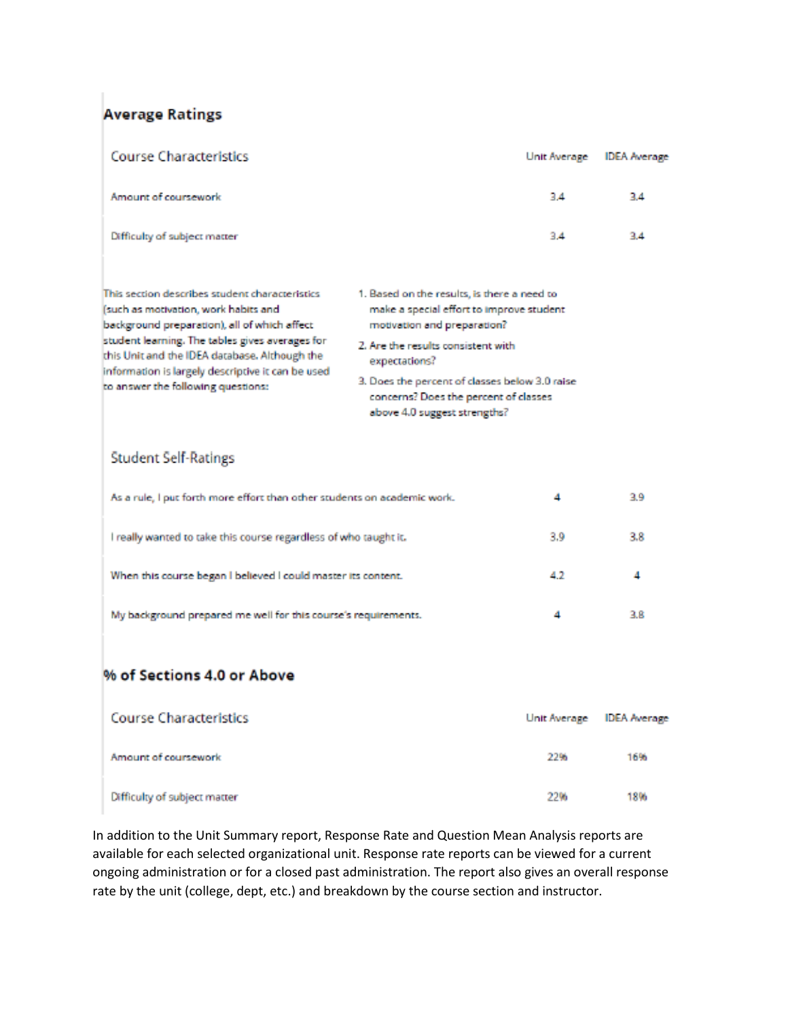## **Average Ratings**

| <b>Course Characteristics</b>                                                                                                                                                                                                                                                                                                         |                                                                                                                                                                                                                                                                                                          | Unit Average | <b>IDEA</b> Average |
|---------------------------------------------------------------------------------------------------------------------------------------------------------------------------------------------------------------------------------------------------------------------------------------------------------------------------------------|----------------------------------------------------------------------------------------------------------------------------------------------------------------------------------------------------------------------------------------------------------------------------------------------------------|--------------|---------------------|
| Amount of coursework                                                                                                                                                                                                                                                                                                                  |                                                                                                                                                                                                                                                                                                          | 34           | 3.4                 |
| Difficulty of subject matter                                                                                                                                                                                                                                                                                                          |                                                                                                                                                                                                                                                                                                          | 3.4          | 3.4                 |
| This section describes student characteristics<br>(such as motivation, work habits and<br>background preparation), all of which affect<br>student learning. The tables gives averages for<br>this Unit and the IDEA database. Although the<br>information is largely descriptive it can be used<br>to answer the following questions: | 1. Based on the results, is there a need to<br>make a special effort to improve student<br>motivation and preparation?<br>2. Are the results consistent with<br>expectations?<br>3. Does the percent of classes below 3.0 raise<br>concerns? Does the percent of classes<br>above 4.0 suggest strengths? |              |                     |
| <b>Student Self-Ratings</b>                                                                                                                                                                                                                                                                                                           |                                                                                                                                                                                                                                                                                                          |              |                     |
| As a rule, I put forth more effort than other students on academic work.                                                                                                                                                                                                                                                              |                                                                                                                                                                                                                                                                                                          | 4            | 3.9                 |
| I really wanted to take this course regardless of who taught it.                                                                                                                                                                                                                                                                      |                                                                                                                                                                                                                                                                                                          | 3.9          | 3.8                 |
| When this course began I believed I could master its content.                                                                                                                                                                                                                                                                         |                                                                                                                                                                                                                                                                                                          | 4.2          | 4                   |
| My background prepared me well for this course's requirements.                                                                                                                                                                                                                                                                        |                                                                                                                                                                                                                                                                                                          | 4            | 3.8                 |
| % of Sections 4.0 or Above                                                                                                                                                                                                                                                                                                            |                                                                                                                                                                                                                                                                                                          |              |                     |

| <b>Course Characteristics</b> |      | Unit Average IDEA Average |
|-------------------------------|------|---------------------------|
| Amount of coursework          | 22%  | 16%                       |
| Difficulty of subject matter  | 2206 | 18%                       |

In addition to the Unit Summary report, Response Rate and Question Mean Analysis reports are available for each selected organizational unit. Response rate reports can be viewed for a current ongoing administration or for a closed past administration. The report also gives an overall response rate by the unit (college, dept, etc.) and breakdown by the course section and instructor.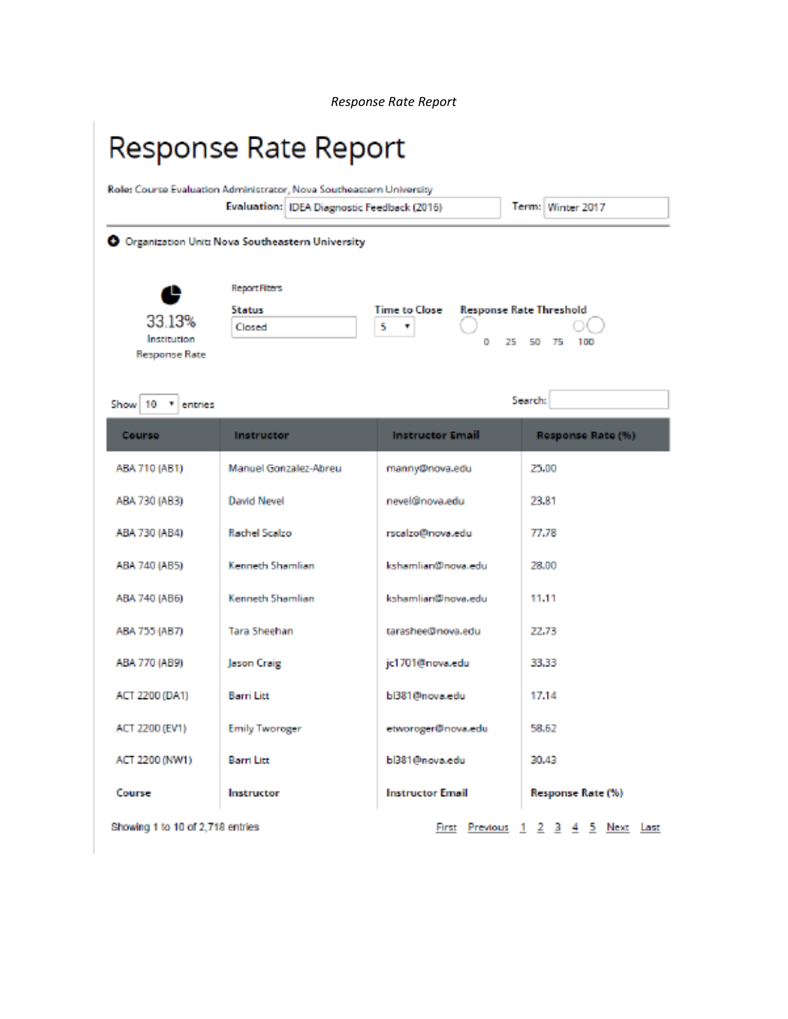*Response Rate Report*

# Response Rate Report

|                                    | Role: Course Evaluation Administrator, Nova Southeastern University |                         |                                   |
|------------------------------------|---------------------------------------------------------------------|-------------------------|-----------------------------------|
|                                    | Evaluation: IDEA Diagnostic Feedback (2016)                         |                         | Term: Winter 2017                 |
|                                    | O Organization Unit: Nova Southeastern University                   |                         |                                   |
| e                                  | <b>Report Fiters</b>                                                |                         |                                   |
|                                    | <b>Status</b>                                                       | <b>Time to Close</b>    | <b>Response Rate Threshold</b>    |
| 33.13%<br>Institution              | Closed                                                              | 5                       |                                   |
| Response Rate                      |                                                                     | 25<br>o                 | 50<br>100<br>75                   |
| Show 10<br>$\mathbf{v}$<br>entries |                                                                     |                         | Search:                           |
| Course                             | Instructor                                                          | <b>Instructor Email</b> | Response Rate (%)                 |
| ABA 710 (AB1)                      | Manuel Gonzalez-Abreu                                               | manny@nova.edu          | 25,00                             |
| ABA 730 (AB3)                      | <b>David Nevel</b>                                                  | nevel@nova.edu          | 23.81                             |
| ABA 730 (AB4)                      | Rachel Scalzo                                                       | rscalzo@nova.edu        | 77.78                             |
| ABA 740 (AB5)                      | Kenneth Shamlian                                                    | kshamlian@nova.edu      | 28,00                             |
| ABA 740 (AB6)                      | Kenneth Shamlian                                                    | kshamlian@nova.edu      | 11.11                             |
| ABA 755 (AB7)                      | Tara Sheehan                                                        | tarashee@nova.edu       | 22.73                             |
| ABA 770 (AB9)                      | Jason Craig                                                         | jc1701@nova.edu         | 33,33                             |
| ACT 2200 (DA1)                     | <b>Barri Litt</b>                                                   | bl381@nova.edu          | 17.14                             |
| ACT 2200 (EV1)                     | <b>Emily Tworoger</b>                                               | etworoger@nova.edu      | 58.62                             |
| ACT 2200 (NW1)                     | Barri Litt                                                          | bl381@nova.edu          | 30,43                             |
| Course                             | Instructor                                                          | <b>Instructor Email</b> | Response Rate (%)                 |
| Showing 1 to 10 of 2.718 entries   |                                                                     | First Previous          | 2 3 4 5 Next Last<br>$\mathbf{1}$ |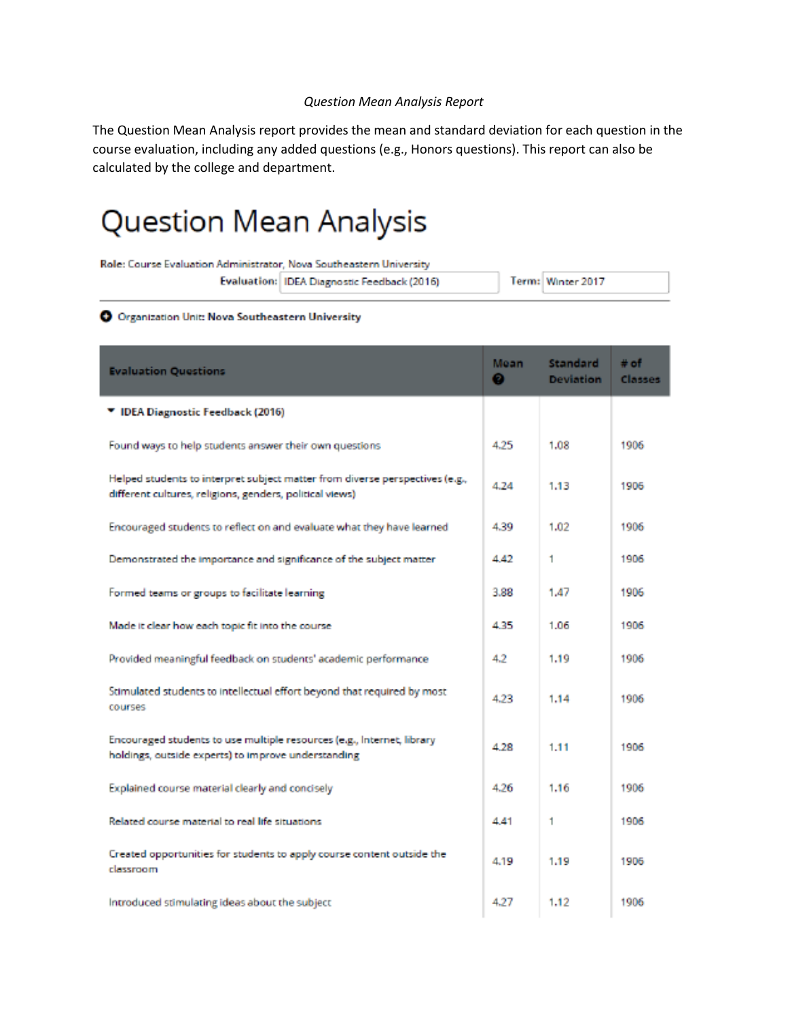#### *Question Mean Analysis Report*

The Question Mean Analysis report provides the mean and standard deviation for each question in the course evaluation, including any added questions (e.g., Honors questions). This report can also be calculated by the college and department.

# Question Mean Analysis

| Role: Course Evaluation Administrator, Nova Southeastern University |                                               |                   |
|---------------------------------------------------------------------|-----------------------------------------------|-------------------|
|                                                                     | Evaluation:   IDEA Diagnostic Feedback (2016) | Term: Winter 2017 |

#### O Organization Unit: Nova Southeastern University

| <b>Evaluation Questions</b>                                                                                                              | Mean<br>Θ | <b>Standard</b><br><b>Deviation</b> | $#$ of<br>Classes |
|------------------------------------------------------------------------------------------------------------------------------------------|-----------|-------------------------------------|-------------------|
| ▼ IDEA Diagnostic Feedback (2016)                                                                                                        |           |                                     |                   |
| Found ways to help students answer their own questions                                                                                   | 4.25      | 1.08                                | 1906              |
| Helped students to interpret subject matter from diverse perspectives (e.g.,<br>different cultures, religions, genders, political views) | 4.24      | 1.13                                | 1906              |
| Encouraged students to reflect on and evaluate what they have learned                                                                    | 4.39      | 1.02                                | 1906              |
| Demonstrated the importance and significance of the subject matter                                                                       | 4.42      | 1                                   | 1906              |
| Formed teams or groups to facilitate learning                                                                                            | 3.88      | 1.47                                | 1906              |
| Made it clear how each topic fit into the course                                                                                         | 4.35      | 1.06                                | 1906              |
| Provided meaningful feedback on students' academic performance                                                                           | 4.2       | 1.19                                | 1906              |
| Stimulated students to intellectual effort beyond that required by most<br>courses                                                       | 4.23      | 1.14                                | 1906              |
| Encouraged students to use multiple resources (e.g., Internet, library<br>holdings, outside experts) to improve understanding            | 4.28      | 1.11                                | 1906              |
| Explained course material clearly and concisely                                                                                          | 4.26      | 1.16                                | 1906              |
| Related course material to real life situations.                                                                                         | 4.41      | 1                                   | 1906              |
| Created opportunities for students to apply course content outside the<br>classroom                                                      | 4.19      | 1.19                                | 1906              |
| Introduced stimulating ideas about the subject                                                                                           | 4.27      | 1.12                                | 1906              |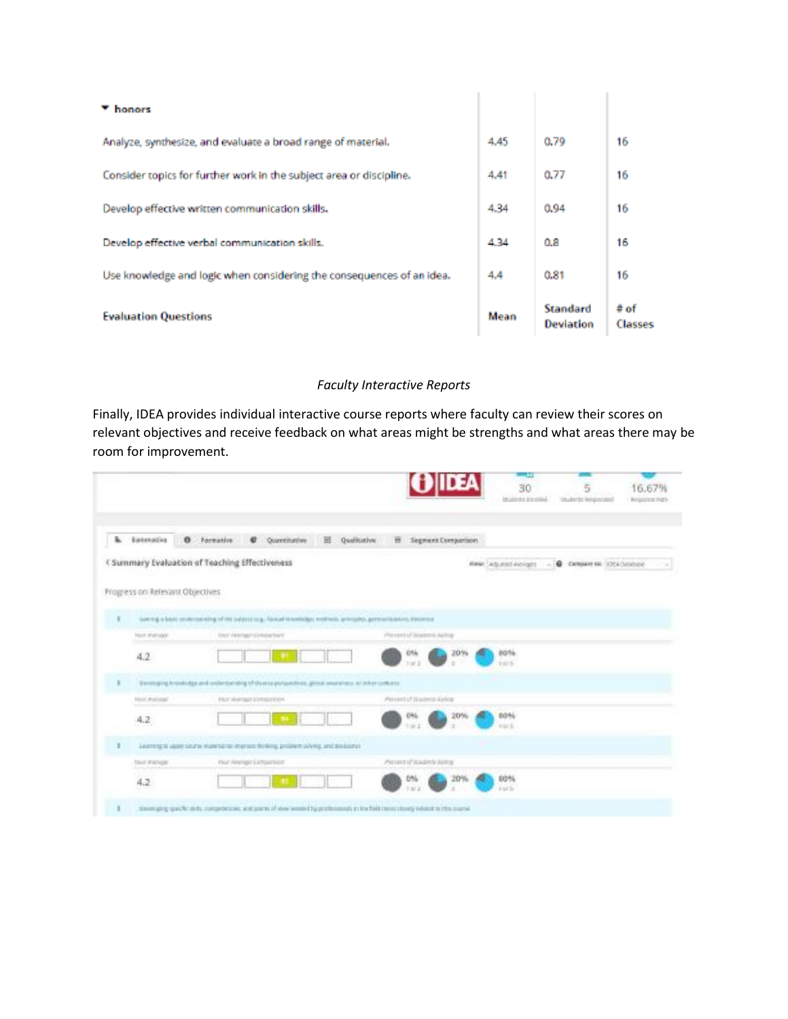| ▼ honors                                                              |      |                                     |                   |
|-----------------------------------------------------------------------|------|-------------------------------------|-------------------|
| Analyze, synthesize, and evaluate a broad range of material.          | 4.45 | 0.79                                | 16                |
| Consider topics for further work in the subject area or discipline.   | 4.41 | 0.77                                | 16                |
| Develop effective written communication skills.                       | 4.34 | 0.94                                | 16                |
| Develop effective verbal communication skills.                        | 4.34 | 0.8                                 | 16                |
| Use knowledge and logic when considering the consequences of an idea. | 4.4  | 0.81                                | 16                |
| <b>Evaluation Questions</b>                                           | Mean | <b>Standard</b><br><b>Deviation</b> | $#$ of<br>Classes |

### *Faculty Interactive Reports*

Finally, IDEA provides individual interactive course reports where faculty can review their scores on relevant objectives and receive feedback on what areas might be strengths and what areas there may be room for improvement.

|                                        |                                                                                                                                      | <b>THE ST</b><br>OIDEA<br>30<br>16.67%<br>5<br>thuseau inning<br>Ubulleriti Heliponisto<br><b>BESIGNER FIZE</b> |
|----------------------------------------|--------------------------------------------------------------------------------------------------------------------------------------|-----------------------------------------------------------------------------------------------------------------|
| à.<br>Banceative<br>$\sigma$           | Portrative<br>El Quelicative<br>C Quantitative                                                                                       | <b>E Segment Companison</b>                                                                                     |
|                                        | C Summary Evaluation of Teaching Effectiveness                                                                                       | Riews Ladjusted Avenages - -<br><b>B</b> Camparella: 1054/Million<br>$\sim$                                     |
| Progress on Referant Objectives        |                                                                                                                                      |                                                                                                                 |
|                                        | lasting a basic anderseasing of the autoscopy, factor inspelledge, motivate, generality, generality, experiment                      |                                                                                                                 |
| Fourt sharvage                         | TRUT INSTANT EXHIBITIONS                                                                                                             | (Percent of Breezers) betting                                                                                   |
| 4.2                                    |                                                                                                                                      | 80%<br>20%<br>076<br><b>Sirik</b>                                                                               |
|                                        | Simpleyers in stakings and collectoristical of diverse polypectrics, global awarehous or rebuild complete                            |                                                                                                                 |
| <b>HEIL AVENUE</b>                     | <b>ESUIT AVAILIBUT 2 THUS SUITA YEAR</b>                                                                                             | Perrent of Budera Ashran                                                                                        |
| 4.2                                    |                                                                                                                                      | 80%<br>20%<br>$\frac{m}{n}$<br>aara.                                                                            |
|                                        | Livering to appropriate waterful to engineer thrilling, problem silving, and dealers of                                              |                                                                                                                 |
| <b>TALE PRINCIP</b><br><b>Lendonia</b> | that resinge Extraeclast                                                                                                             | Percent of Washing Aktros                                                                                       |
| 4.2                                    |                                                                                                                                      | 20%<br>80%<br>0%<br>in tell far                                                                                 |
|                                        | directioning spaces about a competencies, and points of stew second by productioning to the field monochoody related to this quarter |                                                                                                                 |